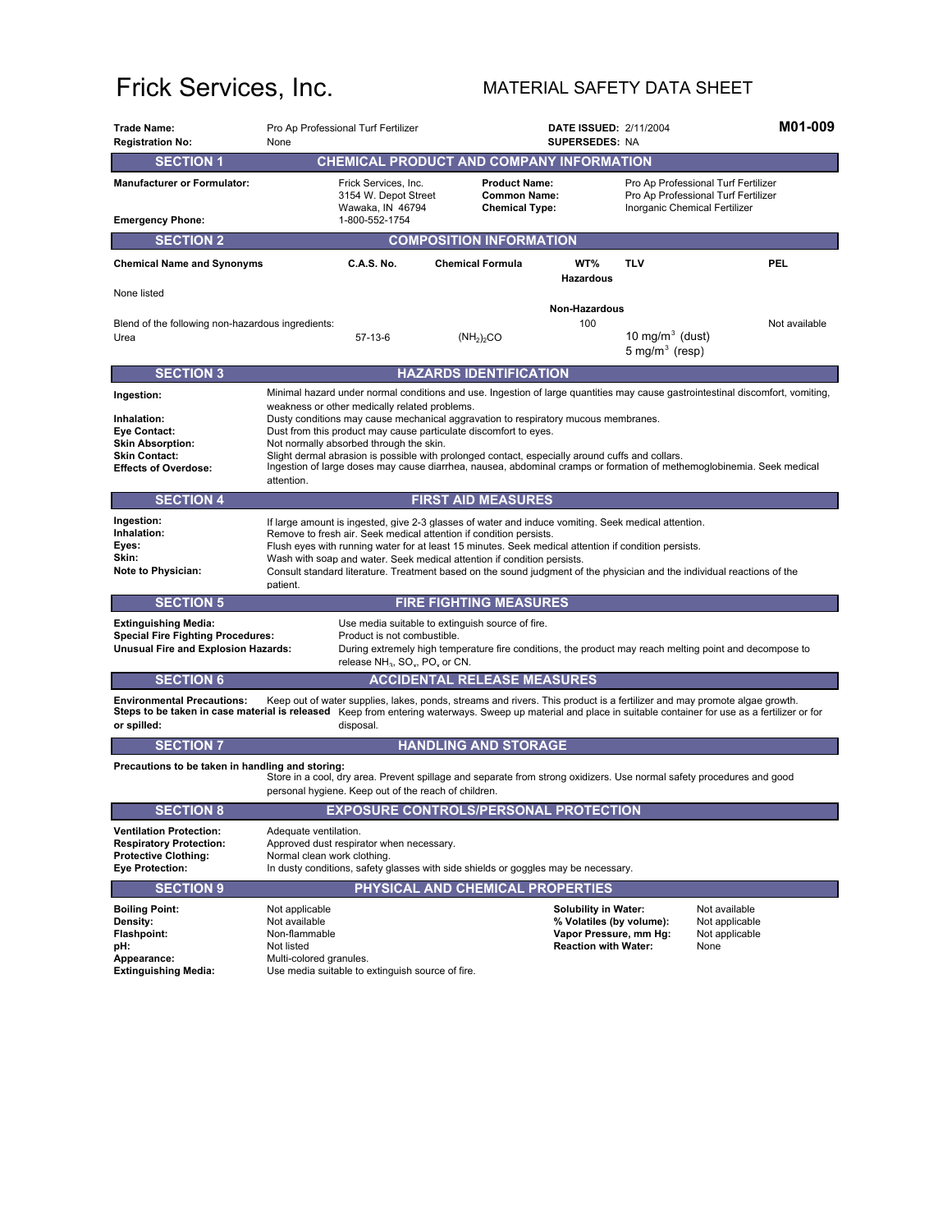## Frick Services, Inc. MATERIAL SAFETY DATA SHEET

| <b>Trade Name:</b><br><b>Registration No:</b>                                                                                                                                                                                     | Pro Ap Professional Turf Fertilizer<br>None                                                                                                                                                                                                                                                                                                                                                                                                                                                                                                                                                                                    |                                                                      | M01-009<br><b>DATE ISSUED: 2/11/2004</b><br><b>SUPERSEDES: NA</b>                                                |                                                 |                                                                            |  |  |  |  |
|-----------------------------------------------------------------------------------------------------------------------------------------------------------------------------------------------------------------------------------|--------------------------------------------------------------------------------------------------------------------------------------------------------------------------------------------------------------------------------------------------------------------------------------------------------------------------------------------------------------------------------------------------------------------------------------------------------------------------------------------------------------------------------------------------------------------------------------------------------------------------------|----------------------------------------------------------------------|------------------------------------------------------------------------------------------------------------------|-------------------------------------------------|----------------------------------------------------------------------------|--|--|--|--|
| <b>SECTION 1</b>                                                                                                                                                                                                                  | CHEMICAL PRODUCT AND COMPANY INFORMATION                                                                                                                                                                                                                                                                                                                                                                                                                                                                                                                                                                                       |                                                                      |                                                                                                                  |                                                 |                                                                            |  |  |  |  |
| <b>Manufacturer or Formulator:</b>                                                                                                                                                                                                | Frick Services, Inc.<br>3154 W. Depot Street<br>Wawaka, IN 46794                                                                                                                                                                                                                                                                                                                                                                                                                                                                                                                                                               | <b>Product Name:</b><br><b>Common Name:</b><br><b>Chemical Type:</b> |                                                                                                                  | Inorganic Chemical Fertilizer                   | Pro Ap Professional Turf Fertilizer<br>Pro Ap Professional Turf Fertilizer |  |  |  |  |
| <b>Emergency Phone:</b>                                                                                                                                                                                                           | 1-800-552-1754                                                                                                                                                                                                                                                                                                                                                                                                                                                                                                                                                                                                                 |                                                                      |                                                                                                                  |                                                 |                                                                            |  |  |  |  |
| <b>SECTION 2</b><br><b>COMPOSITION INFORMATION</b>                                                                                                                                                                                |                                                                                                                                                                                                                                                                                                                                                                                                                                                                                                                                                                                                                                |                                                                      |                                                                                                                  |                                                 |                                                                            |  |  |  |  |
| <b>Chemical Name and Synonyms</b>                                                                                                                                                                                                 | C.A.S. No.                                                                                                                                                                                                                                                                                                                                                                                                                                                                                                                                                                                                                     | <b>Chemical Formula</b>                                              | WT%<br>Hazardous                                                                                                 | <b>TLV</b>                                      | PEL                                                                        |  |  |  |  |
| None listed                                                                                                                                                                                                                       | Non-Hazardous                                                                                                                                                                                                                                                                                                                                                                                                                                                                                                                                                                                                                  |                                                                      |                                                                                                                  |                                                 |                                                                            |  |  |  |  |
| Blend of the following non-hazardous ingredients:<br>Urea                                                                                                                                                                         | $57-13-6$                                                                                                                                                                                                                                                                                                                                                                                                                                                                                                                                                                                                                      | $(NH_2)_2CO$                                                         | 100                                                                                                              | 10 mg/m $3$ (dust)<br>$5 \text{ mg/m}^3$ (resp) | Not available                                                              |  |  |  |  |
| <b>SECTION 3</b>                                                                                                                                                                                                                  |                                                                                                                                                                                                                                                                                                                                                                                                                                                                                                                                                                                                                                | <b>HAZARDS IDENTIFICATION</b>                                        |                                                                                                                  |                                                 |                                                                            |  |  |  |  |
| Ingestion:<br>Inhalation:<br><b>Eve Contact:</b><br><b>Skin Absorption:</b><br><b>Skin Contact:</b><br><b>Effects of Overdose:</b>                                                                                                | Minimal hazard under normal conditions and use. Ingestion of large quantities may cause gastrointestinal discomfort, vomiting,<br>weakness or other medically related problems.<br>Dusty conditions may cause mechanical aggravation to respiratory mucous membranes.<br>Dust from this product may cause particulate discomfort to eyes.<br>Not normally absorbed through the skin.<br>Slight dermal abrasion is possible with prolonged contact, especially around cuffs and collars.<br>Ingestion of large doses may cause diarrhea, nausea, abdominal cramps or formation of methemoglobinemia. Seek medical<br>attention. |                                                                      |                                                                                                                  |                                                 |                                                                            |  |  |  |  |
| <b>SECTION 4</b>                                                                                                                                                                                                                  |                                                                                                                                                                                                                                                                                                                                                                                                                                                                                                                                                                                                                                | <b>FIRST AID MEASURES</b>                                            |                                                                                                                  |                                                 |                                                                            |  |  |  |  |
| Ingestion:<br>Inhalation:<br>Eyes:<br>Skin:<br>Note to Physician:                                                                                                                                                                 | If large amount is ingested, give 2-3 glasses of water and induce vomiting. Seek medical attention.<br>Remove to fresh air. Seek medical attention if condition persists.<br>Flush eyes with running water for at least 15 minutes. Seek medical attention if condition persists.<br>Wash with soap and water. Seek medical attention if condition persists.<br>Consult standard literature. Treatment based on the sound judgment of the physician and the individual reactions of the<br>patient.                                                                                                                            |                                                                      |                                                                                                                  |                                                 |                                                                            |  |  |  |  |
| <b>SECTION 5</b>                                                                                                                                                                                                                  |                                                                                                                                                                                                                                                                                                                                                                                                                                                                                                                                                                                                                                | <b>FIRE FIGHTING MEASURES</b>                                        |                                                                                                                  |                                                 |                                                                            |  |  |  |  |
| <b>Extinguishing Media:</b><br><b>Special Fire Fighting Procedures:</b><br>Unusual Fire and Explosion Hazards:                                                                                                                    | Use media suitable to extinguish source of fire.<br>Product is not combustible.<br>During extremely high temperature fire conditions, the product may reach melting point and decompose to<br>release NH <sub>3</sub> , SO <sub>v</sub> , PO <sub>v</sub> or CN.                                                                                                                                                                                                                                                                                                                                                               |                                                                      |                                                                                                                  |                                                 |                                                                            |  |  |  |  |
| <b>SECTION 6</b>                                                                                                                                                                                                                  |                                                                                                                                                                                                                                                                                                                                                                                                                                                                                                                                                                                                                                | <b>ACCIDENTAL RELEASE MEASURES</b>                                   |                                                                                                                  |                                                 |                                                                            |  |  |  |  |
| <b>Environmental Precautions:</b><br>or spilled:                                                                                                                                                                                  | Keep out of water supplies, lakes, ponds, streams and rivers. This product is a fertilizer and may promote algae growth.<br>Steps to be taken in case material is released Keep from entering waterways. Sweep up material and place in suitable container for use as a fertilizer or for<br>disposal.                                                                                                                                                                                                                                                                                                                         |                                                                      |                                                                                                                  |                                                 |                                                                            |  |  |  |  |
| <b>SECTION 7</b>                                                                                                                                                                                                                  |                                                                                                                                                                                                                                                                                                                                                                                                                                                                                                                                                                                                                                | <b>HANDLING AND STORAGE</b>                                          |                                                                                                                  |                                                 |                                                                            |  |  |  |  |
| Precautions to be taken in handling and storing:<br>Store in a cool, dry area. Prevent spillage and separate from strong oxidizers. Use normal safety procedures and good<br>personal hygiene. Keep out of the reach of children. |                                                                                                                                                                                                                                                                                                                                                                                                                                                                                                                                                                                                                                |                                                                      |                                                                                                                  |                                                 |                                                                            |  |  |  |  |
| <b>SECTION 8</b>                                                                                                                                                                                                                  | <b>EXPOSURE CONTROLS/PERSONAL PROTECTION</b>                                                                                                                                                                                                                                                                                                                                                                                                                                                                                                                                                                                   |                                                                      |                                                                                                                  |                                                 |                                                                            |  |  |  |  |
| <b>Ventilation Protection:</b><br><b>Respiratory Protection:</b><br><b>Protective Clothing:</b><br><b>Eye Protection:</b>                                                                                                         | Adequate ventilation.<br>Approved dust respirator when necessary.<br>Normal clean work clothing.<br>In dusty conditions, safety glasses with side shields or goggles may be necessary.                                                                                                                                                                                                                                                                                                                                                                                                                                         |                                                                      |                                                                                                                  |                                                 |                                                                            |  |  |  |  |
| <b>SECTION 9</b>                                                                                                                                                                                                                  |                                                                                                                                                                                                                                                                                                                                                                                                                                                                                                                                                                                                                                | PHYSICAL AND CHEMICAL PROPERTIES                                     |                                                                                                                  |                                                 |                                                                            |  |  |  |  |
| <b>Boiling Point:</b><br>Density:<br><b>Flashpoint:</b><br>pH:<br>Appearance:<br><b>Extinguishing Media:</b>                                                                                                                      | Not applicable<br>Not available<br>Non-flammable<br>Not listed<br>Multi-colored granules.<br>Use media suitable to extinguish source of fire.                                                                                                                                                                                                                                                                                                                                                                                                                                                                                  |                                                                      | <b>Solubility in Water:</b><br>% Volatiles (by volume):<br>Vapor Pressure, mm Hg:<br><b>Reaction with Water:</b> |                                                 | Not available<br>Not applicable<br>Not applicable<br>None                  |  |  |  |  |